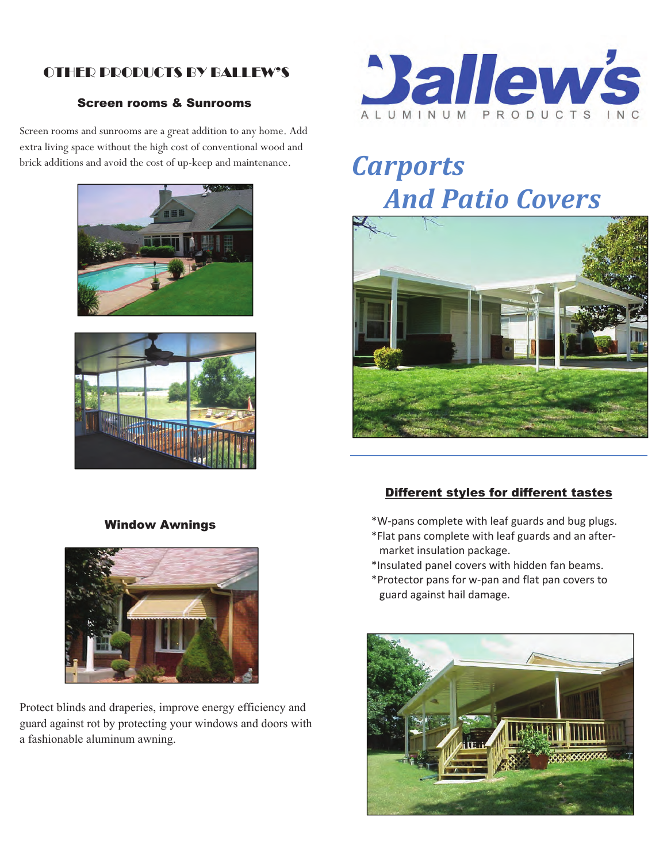### OTHER PRODUCTS BY BALLEW'S  $S$  screen rooms  $S$  such  $S$  such as  $S$

### **Screen rooms & Sunrooms** Screen rooms a sunrooms

Screen rooms and sunrooms are a great addition to any home. Add extra living space without the high cost of conventional wood and brick additions and avoid the cost of up-keep and maintenance.





# Window Awnings Window Awnings



Protect blinds and draperies, improve energy efficiency and guard against rot by protecting your windows and doors with guard against rot by protecting your windows and doors with a fashionable aluminum awning. a fashionable aluminum awning.



## *Carports And Patio Covers And Pati Carports And Patio Covers*



### Different styles for different tastes Different styles for different tastes

 $^\ast$ W-pans complete with leaf guards and bug plugs. \*W-pans complete with leaf guards and bug plugs.

- \*Flat pans complete with leaf guards and an aftermarket insulation package. Finance modiation package.<br>\*Flat plans complete with leaf guards and and an
- \*Insulated panel covers with hidden fan beams. msulated participate is with \*Insulated panel covers with hidden fan beams.
- \*Protector pans for w-pan a FIULCULUI pans fur w-pan and hat pan covers t guard against nail damage. m surated parter covers with muderman beams.<br>\*Protector pans for w-pan and flat pan covers to  $\frac{1}{2}$  parameters with leaf guard against hail damage market insulation package. guard against hail damage. \*Protector pans for w‐pan and flat pan covers to<br>example paired heil democre